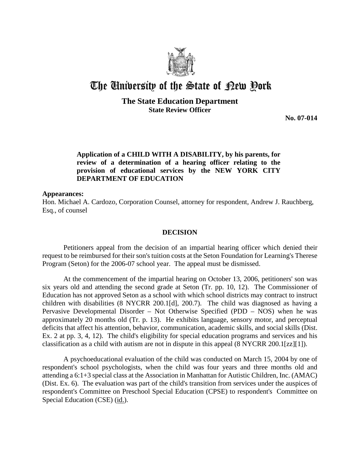

# The University of the State of Pew Pork

## **The State Education Department State Review Officer**

**No. 07-014**

## **Application of a CHILD WITH A DISABILITY, by his parents, for review of a determination of a hearing officer relating to the provision of educational services by the NEW YORK CITY DEPARTMENT OF EDUCATION**

### **Appearances:**

Hon. Michael A. Cardozo, Corporation Counsel, attorney for respondent, Andrew J. Rauchberg, Esq., of counsel

#### **DECISION**

Petitioners appeal from the decision of an impartial hearing officer which denied their request to be reimbursed for their son's tuition costs at the Seton Foundation for Learning's Therese Program (Seton) for the 2006-07 school year. The appeal must be dismissed.

At the commencement of the impartial hearing on October 13, 2006, petitioners' son was six years old and attending the second grade at Seton (Tr. pp. 10, 12). The Commissioner of Education has not approved Seton as a school with which school districts may contract to instruct children with disabilities (8 NYCRR 200.1[d], 200.7). The child was diagnosed as having a Pervasive Developmental Disorder – Not Otherwise Specified (PDD – NOS) when he was approximately 20 months old (Tr. p. 13). He exhibits language, sensory motor, and perceptual deficits that affect his attention, behavior, communication, academic skills, and social skills (Dist. Ex. 2 at pp. 3, 4, 12). The child's eligibility for special education programs and services and his classification as a child with autism are not in dispute in this appeal (8 NYCRR 200.1[zz][1]).

 A psychoeducational evaluation of the child was conducted on March 15, 2004 by one of respondent's school psychologists, when the child was four years and three months old and attending a 6:1+3 special class at the Association in Manhattan for Autistic Children, Inc. (AMAC) (Dist. Ex. 6). The evaluation was part of the child's transition from services under the auspices of respondent's Committee on Preschool Special Education (CPSE) to respondent's Committee on Special Education (CSE) (id.).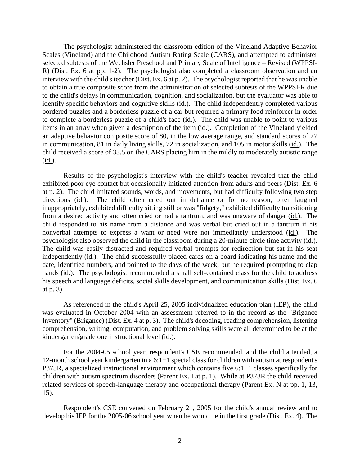The psychologist administered the classroom edition of the Vineland Adaptive Behavior Scales (Vineland) and the Childhood Autism Rating Scale (CARS), and attempted to administer selected subtests of the Wechsler Preschool and Primary Scale of Intelligence – Revised (WPPSI-R) (Dist. Ex. 6 at pp. 1-2). The psychologist also completed a classroom observation and an interview with the child's teacher (Dist. Ex. 6 at p. 2). The psychologist reported that he was unable to obtain a true composite score from the administration of selected subtests of the WPPSI-R due to the child's delays in communication, cognition, and socialization, but the evaluator was able to identify specific behaviors and cognitive skills (id.). The child independently completed various bordered puzzles and a borderless puzzle of a car but required a primary food reinforcer in order to complete a borderless puzzle of a child's face (id.). The child was unable to point to various items in an array when given a description of the item (id.). Completion of the Vineland yielded an adaptive behavior composite score of 80, in the low average range, and standard scores of 77 in communication, 81 in daily living skills, 72 in socialization, and 105 in motor skills (id.). The child received a score of 33.5 on the CARS placing him in the mildly to moderately autistic range (id.).

Results of the psychologist's interview with the child's teacher revealed that the child exhibited poor eye contact but occasionally initiated attention from adults and peers (Dist. Ex. 6 at p. 2). The child imitated sounds, words, and movements, but had difficulty following two step directions (id.). The child often cried out in defiance or for no reason, often laughed inappropriately, exhibited difficulty sitting still or was "fidgety," exhibited difficulty transitioning from a desired activity and often cried or had a tantrum, and was unaware of danger (id.). The child responded to his name from a distance and was verbal but cried out in a tantrum if his nonverbal attempts to express a want or need were not immediately understood (id.). The psychologist also observed the child in the classroom during a 20-minute circle time activity (id.). The child was easily distracted and required verbal prompts for redirection but sat in his seat independently (id.). The child successfully placed cards on a board indicating his name and the date, identified numbers, and pointed to the days of the week, but he required prompting to clap hands (id.). The psychologist recommended a small self-contained class for the child to address his speech and language deficits, social skills development, and communication skills (Dist. Ex. 6 at p. 3).

As referenced in the child's April 25, 2005 individualized education plan (IEP), the child was evaluated in October 2004 with an assessment referred to in the record as the "Brigance Inventory" (Brigance) (Dist. Ex. 4 at p. 3). The child's decoding, reading comprehension, listening comprehension, writing, computation, and problem solving skills were all determined to be at the kindergarten/grade one instructional level (id.).

For the 2004-05 school year, respondent's CSE recommended, and the child attended, a 12-month school year kindergarten in a 6:1+1 special class for children with autism at respondent's P373R, a specialized instructional environment which contains five 6:1+1 classes specifically for children with autism spectrum disorders (Parent Ex. I at p. 1). While at P373R the child received related services of speech-language therapy and occupational therapy (Parent Ex. N at pp. 1, 13, 15).

Respondent's CSE convened on February 21, 2005 for the child's annual review and to develop his IEP for the 2005-06 school year when he would be in the first grade (Dist. Ex. 4). The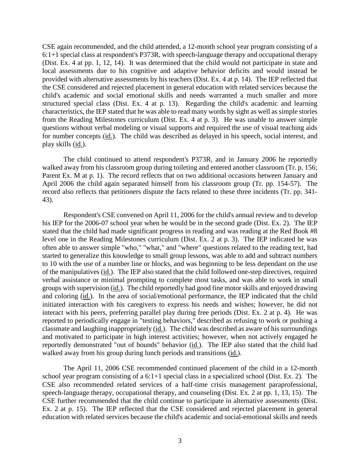CSE again recommended, and the child attended, a 12-month school year program consisting of a 6:1+1 special class at respondent's P373R, with speech-language therapy and occupational therapy (Dist. Ex. 4 at pp. 1, 12, 14). It was determined that the child would not participate in state and local assessments due to his cognitive and adaptive behavior deficits and would instead be provided with alternative assessments by his teachers (Dist. Ex. 4 at p. 14). The IEP reflected that the CSE considered and rejected placement in general education with related services because the child's academic and social emotional skills and needs warranted a much smaller and more structured special class (Dist. Ex. 4 at p. 13). Regarding the child's academic and learning characteristics, the IEP stated that he was able to read many words by sight as well as simple stories from the Reading Milestones curriculum (Dist. Ex. 4 at p. 3). He was unable to answer simple questions without verbal modeling or visual supports and required the use of visual teaching aids for number concepts (id.). The child was described as delayed in his speech, social interest, and play skills (id.).

The child continued to attend respondent's P373R, and in January 2006 he reportedly walked away from his classroom group during toileting and entered another classroom (Tr. p. 156; Parent Ex. M at p. 1). The record reflects that on two additional occasions between January and April 2006 the child again separated himself from his classroom group (Tr. pp. 154-57). The record also reflects that petitioners dispute the facts related to these three incidents (Tr. pp. 341- 43).

Respondent's CSE convened on April 11, 2006 for the child's annual review and to develop his IEP for the 2006-07 school year when he would be in the second grade (Dist. Ex. 2). The IEP stated that the child had made significant progress in reading and was reading at the Red Book #8 level one in the Reading Milestones curriculum (Dist. Ex. 2 at p. 3). The IEP indicated he was often able to answer simple "who," "what," and "where" questions related to the reading text, had started to generalize this knowledge to small group lessons, was able to add and subtract numbers to 10 with the use of a number line or blocks, and was beginning to be less dependant on the use of the manipulatives (id.). The IEP also stated that the child followed one-step directives, required verbal assistance or minimal prompting to complete most tasks, and was able to work in small groups with supervision (id.). The child reportedly had good fine motor skills and enjoyed drawing and coloring (id.). In the area of social/emotional performance, the IEP indicated that the child initiated interaction with his caregivers to express his needs and wishes; however, he did not interact with his peers, preferring parallel play during free periods (Dist. Ex. 2 at p. 4). He was reported to periodically engage in "testing behaviors," described as refusing to work or pushing a classmate and laughing inappropriately (id.). The child was described as aware of his surroundings and motivated to participate in high interest activities; however, when not actively engaged he reportedly demonstrated "out of bounds" behavior (id.). The IEP also stated that the child had walked away from his group during lunch periods and transitions (id.).

The April 11, 2006 CSE recommended continued placement of the child in a 12-month school year program consisting of a 6:1+1 special class in a specialized school (Dist. Ex. 2). The CSE also recommended related services of a half-time crisis management paraprofessional, speech-language therapy, occupational therapy, and counseling (Dist. Ex. 2 at pp. 1, 13, 15). The CSE further recommended that the child continue to participate in alternative assessments (Dist. Ex. 2 at p. 15). The IEP reflected that the CSE considered and rejected placement in general education with related services because the child's academic and social-emotional skills and needs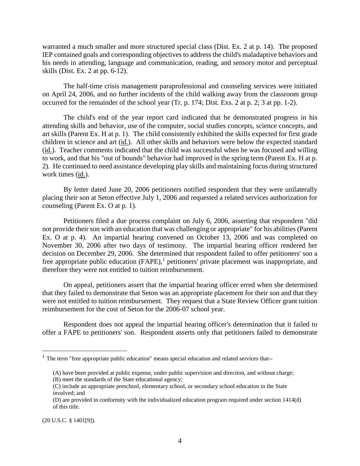warranted a much smaller and more structured special class (Dist. Ex. 2 at p. 14). The proposed IEP contained goals and corresponding objectives to address the child's maladaptive behaviors and his needs in attending, language and communication, reading, and sensory motor and perceptual skills (Dist. Ex. 2 at pp. 6-12).

The half-time crisis management paraprofessional and counseling services were initiated on April 24, 2006, and no further incidents of the child walking away from the classroom group occurred for the remainder of the school year (Tr. p. 174; Dist. Exs. 2 at p. 2; 3 at pp. 1-2).

The child's end of the year report card indicated that he demonstrated progress in his attending skills and behavior, use of the computer, social studies concepts, science concepts, and art skills (Parent Ex. H at p. 1). The child consistently exhibited the skills expected for first grade children in science and art (id.). All other skills and behaviors were below the expected standard (id.). Teacher comments indicated that the child was successful when he was focused and willing to work, and that his "out of bounds" behavior had improved in the spring term (Parent Ex. H at p. 2). He continued to need assistance developing play skills and maintaining focus during structured work times (id.).

By letter dated June 20, 2006 petitioners notified respondent that they were unilaterally placing their son at Seton effective July 1, 2006 and requested a related services authorization for counseling (Parent Ex. O at p. 1).

Petitioners filed a due process complaint on July 6, 2006, asserting that respondent "did not provide their son with an education that was challenging or appropriate" for his abilities (Parent Ex. O at p. 4). An impartial hearing convened on October 13, 2006 and was completed on November 30, 2006 after two days of testimony. The impartial hearing officer rendered her decision on December 29, 2006. She determined that respondent failed to offer petitioners' son a free appropriate public education (FAPE),<sup>1</sup> petitioners' private placement was inappropriate, and therefore they were not entitled to tuition reimbursement.

On appeal, petitioners assert that the impartial hearing officer erred when she determined that they failed to demonstrate that Seton was an appropriate placement for their son and that they were not entitled to tuition reimbursement. They request that a State Review Officer grant tuition reimbursement for the cost of Seton for the 2006-07 school year.

Respondent does not appeal the impartial hearing officer's determination that it failed to offer a FAPE to petitioners' son. Respondent asserts only that petitioners failed to demonstrate

(20 U.S.C. § 1401[9]).

 $<sup>1</sup>$  The term "free appropriate public education" means special education and related services that--</sup>

<sup>(</sup>A) have been provided at public expense, under public supervision and direction, and without charge;

<sup>(</sup>B) meet the standards of the State educational agency;

<sup>(</sup>C) include an appropriate preschool, elementary school, or secondary school education in the State involved; and

<sup>(</sup>D) are provided in conformity with the individualized education program required under section 1414(d) of this title.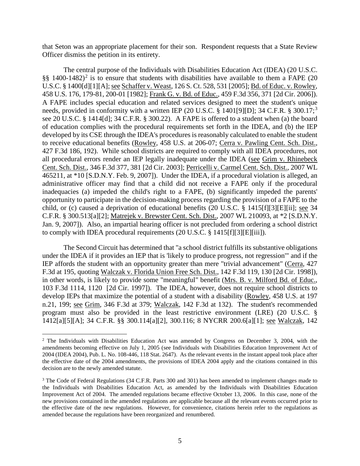that Seton was an appropriate placement for their son. Respondent requests that a State Review Officer dismiss the petition in its entirety.

The central purpose of the Individuals with Disabilities Education Act (IDEA) (20 U.S.C. §§ 1400-1482)<sup>2</sup> is to ensure that students with disabilities have available to them a FAPE (20 U.S.C. § 1400[d][1][A]; see Schaffer v. Weast, 126 S. Ct. 528, 531 [2005]; Bd. of Educ. v. Rowley, 458 U.S. 176, 179-81, 200-01 [1982]; Frank G. v. Bd. of Educ., 459 F.3d 356, 371 [2d Cir. 2006]). A FAPE includes special education and related services designed to meet the student's unique needs, provided in conformity with a written IEP (20 U.S.C. § 1401[9][D]; 34 C.F.R. § 300.17;<sup>3</sup> see 20 U.S.C. § 1414[d]; 34 C.F.R. § 300.22). A FAPE is offered to a student when (a) the board of education complies with the procedural requirements set forth in the IDEA, and (b) the IEP developed by its CSE through the IDEA's procedures is reasonably calculated to enable the student to receive educational benefits (Rowley, 458 U.S. at 206-07; Cerra v. Pawling Cent. Sch. Dist., 427 F.3d 186, 192). While school districts are required to comply with all IDEA procedures, not all procedural errors render an IEP legally inadequate under the IDEA (see Grim v. Rhinebeck Cent. Sch. Dist., 346 F.3d 377, 381 [2d Cir. 2003]; Perricelli v. Carmel Cent. Sch. Dist., 2007 WL 465211, at \*10 [S.D.N.Y. Feb. 9, 2007]). Under the IDEA, if a procedural violation is alleged, an administrative officer may find that a child did not receive a FAPE only if the procedural inadequacies (a) impeded the child's right to a FAPE, (b) significantly impeded the parents' opportunity to participate in the decision-making process regarding the provision of a FAPE to the child, or (c) caused a deprivation of educational benefits (20 U.S.C. § 1415[f][3][E][ii]; see 34 C.F.R. § 300.513[a][2]; Matrejek v. Brewster Cent. Sch. Dist., 2007 WL 210093, at \*2 [S.D.N.Y. Jan. 9, 2007]). Also, an impartial hearing officer is not precluded from ordering a school district to comply with IDEA procedural requirements (20 U.S.C. § 1415[f][3][E][iii]).

The Second Circuit has determined that "a school district fulfills its substantive obligations under the IDEA if it provides an IEP that is 'likely to produce progress, not regression'" and if the IEP affords the student with an opportunity greater than mere "trivial advancement" (Cerra, 427 F.3d at 195, quoting Walczak v. Florida Union Free Sch. Dist., 142 F.3d 119, 130 [2d Cir. 1998]), in other words, is likely to provide some "meaningful" benefit (Mrs. B. v. Milford Bd. of Educ., 103 F.3d 1114, 1120 [2d Cir. 1997]). The IDEA, however, does not require school districts to develop IEPs that maximize the potential of a student with a disability (Rowley, 458 U.S. at 197 n.21, 199; see Grim, 346 F.3d at 379; Walczak, 142 F.3d at 132). The student's recommended program must also be provided in the least restrictive environment (LRE) (20 U.S.C. § 1412[a][5][A]; 34 C.F.R. §§ 300.114[a][2], 300.116; 8 NYCRR 200.6[a][1]; see Walczak, 142

 <sup>2</sup> The Individuals with Disabilities Education Act was amended by Congress on December 3, 2004, with the amendments becoming effective on July 1, 2005 (see Individuals with Disabilities Education Improvement Act of 2004 (IDEA 2004), Pub. L. No. 108-446, 118 Stat. 2647). As the relevant events in the instant appeal took place after the effective date of the 2004 amendments, the provisions of IDEA 2004 apply and the citations contained in this decision are to the newly amended statute.

<sup>&</sup>lt;sup>3</sup> The Code of Federal Regulations (34 C.F.R. Parts 300 and 301) has been amended to implement changes made to the Individuals with Disabilities Education Act, as amended by the Individuals with Disabilities Education Improvement Act of 2004. The amended regulations became effective October 13, 2006. In this case, none of the new provisions contained in the amended regulations are applicable because all the relevant events occurred prior to the effective date of the new regulations. However, for convenience, citations herein refer to the regulations as amended because the regulations have been reorganized and renumbered.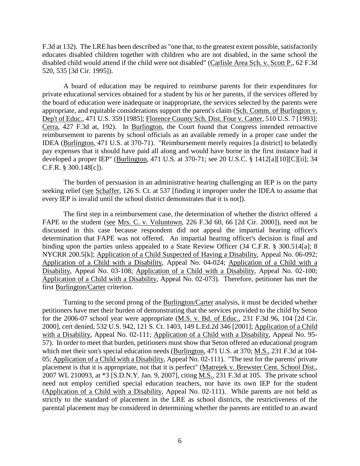F.3d at 132). The LRE has been described as "one that, to the greatest extent possible, satisfactorily educates disabled children together with children who are not disabled, in the same school the disabled child would attend if the child were not disabled" (Carlisle Area Sch. v. Scott P., 62 F.3d 520, 535 [3d Cir. 1995]).

A board of education may be required to reimburse parents for their expenditures for private educational services obtained for a student by his or her parents, if the services offered by the board of education were inadequate or inappropriate, the services selected by the parents were appropriate, and equitable considerations support the parent's claim (Sch. Comm. of Burlington v. Dep't of Educ., 471 U.S. 359 [1985]; Florence County Sch. Dist. Four v. Carter, 510 U.S. 7 [1993]; Cerra, 427 F.3d at, 192). In Burlington, the Court found that Congress intended retroactive reimbursement to parents by school officials as an available remedy in a proper case under the IDEA (Burlington, 471 U.S. at 370-71). "Reimbursement merely requires [a district] to belatedly pay expenses that it should have paid all along and would have borne in the first instance had it developed a proper IEP" (Burlington, 471 U.S. at 370-71; see 20 U.S.C. § 1412[a][10][C][ii]; 34 C.F.R. § 300.148[c]).

The burden of persuasion in an administrative hearing challenging an IEP is on the party seeking relief (see Schaffer, 126 S. Ct. at 537 [finding it improper under the IDEA to assume that every IEP is invalid until the school district demonstrates that it is not]).

The first step in a reimbursement case, the determination of whether the district offered a FAPE to the student (see Mrs. C. v. Voluntown, 226 F.3d 60, 66 [2d Cir. 2000]), need not be discussed in this case because respondent did not appeal the impartial hearing officer's determination that FAPE was not offered. An impartial hearing officer's decision is final and binding upon the parties unless appealed to a State Review Officer (34 C.F.R. § 300.514[a]; 8 NYCRR 200.5[k]; Application of a Child Suspected of Having a Disability, Appeal No. 06-092; Application of a Child with a Disability, Appeal No. 04-024; Application of a Child with a Disability, Appeal No. 03-108; Application of a Child with a Disability, Appeal No. 02-100; Application of a Child with a Disability, Appeal No. 02-073). Therefore, petitioner has met the first Burlington/Carter criterion.

Turning to the second prong of the Burlington/Carter analysis, it must be decided whether petitioners have met their burden of demonstrating that the services provided to the child by Seton for the 2006-07 school year were appropriate (M.S. v. Bd. of Educ., 231 F.3d 96, 104 [2d Cir. 2000], cert denied, 532 U.S. 942, 121 S. Ct. 1403, 149 L.Ed.2d 346 [2001]; Application of a Child with a Disability, Appeal No. 02-111; Application of a Child with a Disability, Appeal No. 95-57). In order to meet that burden, petitioners must show that Seton offered an educational program which met their son's special education needs (Burlington, 471 U.S. at 370; M.S., 231 F.3d at 104- 05; Application of a Child with a Disability, Appeal No. 02-111). "The test for the parents' private placement is that it is appropriate, not that it is perfect" (Matrejek v. Brewster Cent. School Dist., 2007 WL 210093, at \*3 [S.D.N.Y. Jan. 9, 2007], citing M.S., 231 F.3d at 105. The private school need not employ certified special education teachers, nor have its own IEP for the student (Application of a Child with a Disability, Appeal No. 02-111). While parents are not held as strictly to the standard of placement in the LRE as school districts, the restrictiveness of the parental placement may be considered in determining whether the parents are entitled to an award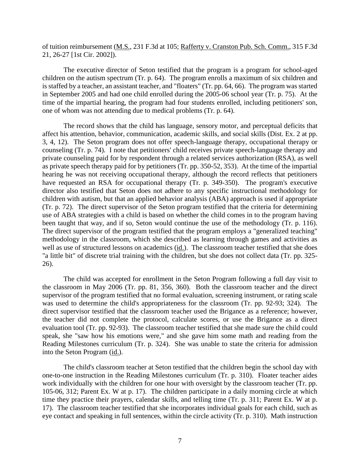of tuition reimbursement (M.S., 231 F.3d at 105; Rafferty v. Cranston Pub. Sch. Comm., 315 F.3d 21, 26-27 [1st Cir. 2002]).

The executive director of Seton testified that the program is a program for school-aged children on the autism spectrum (Tr. p. 64). The program enrolls a maximum of six children and is staffed by a teacher, an assistant teacher, and "floaters" (Tr. pp. 64, 66). The program was started in September 2005 and had one child enrolled during the 2005-06 school year (Tr. p. 75). At the time of the impartial hearing, the program had four students enrolled, including petitioners' son, one of whom was not attending due to medical problems (Tr. p. 64).

The record shows that the child has language, sensory motor, and perceptual deficits that affect his attention, behavior, communication, academic skills, and social skills (Dist. Ex. 2 at pp. 3, 4, 12). The Seton program does not offer speech-language therapy, occupational therapy or counseling (Tr. p. 74). I note that petitioners' child receives private speech-language therapy and private counseling paid for by respondent through a related services authorization (RSA), as well as private speech therapy paid for by petitioners (Tr. pp. 350-52, 353). At the time of the impartial hearing he was not receiving occupational therapy, although the record reflects that petitioners have requested an RSA for occupational therapy (Tr. p. 349-350). The program's executive director also testified that Seton does not adhere to any specific instructional methodology for children with autism, but that an applied behavior analysis (ABA) approach is used if appropriate (Tr. p. 72). The direct supervisor of the Seton program testified that the criteria for determining use of ABA strategies with a child is based on whether the child comes in to the program having been taught that way, and if so, Seton would continue the use of the methodology (Tr. p. 116). The direct supervisor of the program testified that the program employs a "generalized teaching" methodology in the classroom, which she described as learning through games and activities as well as use of structured lessons on academics (id.). The classroom teacher testified that she does "a little bit" of discrete trial training with the children, but she does not collect data (Tr. pp. 325- 26).

The child was accepted for enrollment in the Seton Program following a full day visit to the classroom in May 2006 (Tr. pp. 81, 356, 360). Both the classroom teacher and the direct supervisor of the program testified that no formal evaluation, screening instrument, or rating scale was used to determine the child's appropriateness for the classroom (Tr. pp. 92-93; 324). The direct supervisor testified that the classroom teacher used the Brigance as a reference; however, the teacher did not complete the protocol, calculate scores, or use the Brigance as a direct evaluation tool (Tr. pp. 92-93). The classroom teacher testified that she made sure the child could speak, she "saw how his emotions were," and she gave him some math and reading from the Reading Milestones curriculum (Tr. p. 324). She was unable to state the criteria for admission into the Seton Program (id.).

The child's classroom teacher at Seton testified that the children begin the school day with one-to-one instruction in the Reading Milestones curriculum (Tr. p. 310). Floater teacher aides work individually with the children for one hour with oversight by the classroom teacher (Tr. pp. 105-06, 312; Parent Ex. W at p. 17). The children participate in a daily morning circle at which time they practice their prayers, calendar skills, and telling time (Tr. p. 311; Parent Ex. W at p. 17). The classroom teacher testified that she incorporates individual goals for each child, such as eye contact and speaking in full sentences, within the circle activity (Tr. p. 310). Math instruction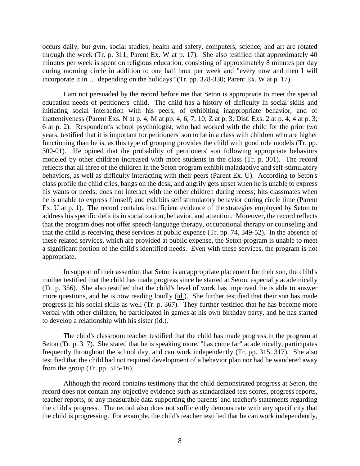occurs daily, but gym, social studies, health and safety, computers, science, and art are rotated through the week (Tr. p. 311; Parent Ex. W at p. 17). She also testified that approximately 40 minutes per week is spent on religious education, consisting of approximately 8 minutes per day during morning circle in addition to one half hour per week and "every now and then I will incorporate it in … depending on the holidays" (Tr. pp. 328-330; Parent Ex. W at p. 17).

I am not persuaded by the record before me that Seton is appropriate to meet the special education needs of petitioners' child. The child has a history of difficulty in social skills and initiating social interaction with his peers, of exhibiting inappropriate behavior, and of inattentiveness (Parent Exs. N at p. 4; M at pp. 4, 6, 7, 10; Z at p. 3; Dist. Exs. 2 at p. 4; 4 at p. 3; 6 at p. 2). Respondent's school psychologist, who had worked with the child for the prior two years, testified that it is important for petitioners' son to be in a class with children who are higher functioning than he is, as this type of grouping provides the child with good role models (Tr. pp. 300-01). He opined that the probability of petitioners' son following appropriate behaviors modeled by other children increased with more students in the class (Tr. p. 301). The record reflects that all three of the children in the Seton program exhibit maladaptive and self-stimulatory behaviors, as well as difficulty interacting with their peers (Parent Ex. U). According to Seton's class profile the child cries, bangs on the desk, and angrily gets upset when he is unable to express his wants or needs; does not interact with the other children during recess; hits classmates when he is unable to express himself; and exhibits self stimulatory behavior during circle time (Parent Ex. U at p. 1). The record contains insufficient evidence of the strategies employed by Seton to address his specific deficits in socialization, behavior, and attention. Moreover, the record reflects that the program does not offer speech-language therapy, occupational therapy or counseling and that the child is receiving these services at public expense (Tr. pp. 74, 349-52). In the absence of these related services, which are provided at public expense, the Seton program is unable to meet a significant portion of the child's identified needs. Even with these services, the program is not appropriate.

In support of their assertion that Seton is an appropriate placement for their son, the child's mother testified that the child has made progress since he started at Seton, especially academically (Tr. p. 356). She also testified that the child's level of work has improved, he is able to answer more questions, and he is now reading loudly (id.). She further testified that their son has made progress in his social skills as well (Tr. p. 367). They further testified that he has become more verbal with other children, he participated in games at his own birthday party, and he has started to develop a relationship with his sister (id.).

The child's classroom teacher testified that the child has made progress in the program at Seton (Tr. p. 317). She stated that he is speaking more, "has come far" academically, participates frequently throughout the school day, and can work independently (Tr. pp. 315, 317). She also testified that the child had not required development of a behavior plan nor had he wandered away from the group (Tr. pp. 315-16).

Although the record contains testimony that the child demonstrated progress at Seton, the record does not contain any objective evidence such as standardized test scores, progress reports, teacher reports, or any measurable data supporting the parents' and teacher's statements regarding the child's progress. The record also does not sufficiently demonstrate with any specificity that the child is progressing. For example, the child's teacher testified that he can work independently,